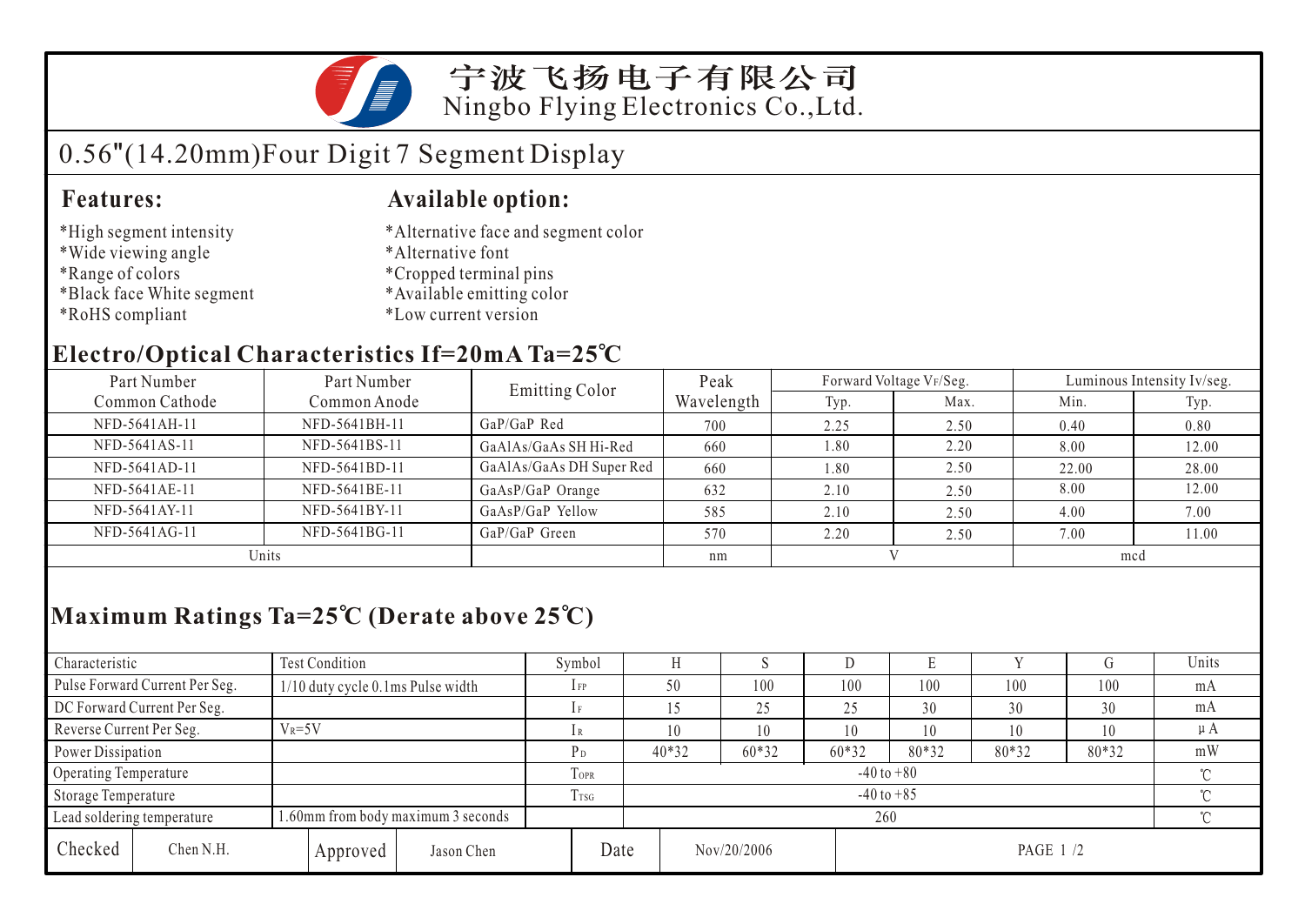

宁波飞扬电子有限公司 Ningbo Flying Electronics Co.,Ltd.

# 0.56"(14.20mm)Four Digit 7 Segment Display

### **Features: Available option:**

- \*High segment intensity
- \*Wide viewing angle
- \*Range of colors
- \*Black face White segment
- \*RoHS compliant
- \*Alternative face and segment color
- \*Alternative font
- \*Cropped terminal pins
- \*Available emitting color
- \*Low current version

### **Electro/Optical Characteristics If=20mA Ta=25 C**

| Part Number    | Part Number   | <b>Emitting Color</b>    | Peak       |      | Forward Voltage VF/Seg. | Luminous Intensity Iv/seg. |       |  |
|----------------|---------------|--------------------------|------------|------|-------------------------|----------------------------|-------|--|
| Common Cathode | Common Anode  |                          | Wavelength | Typ. | Max.                    | Min.                       | Typ.  |  |
| NFD-5641AH-11  | NFD-5641BH-11 | $GaP/GaP$ Red            | 700        | 2.25 | 2.50                    | 0.40                       | 0.80  |  |
| NFD-5641AS-11  | NFD-5641BS-11 | GaAlAs/GaAs SH Hi-Red    | 660        | 1.80 | 2.20                    | 8.00                       | 12.00 |  |
| NFD-5641AD-11  | NFD-5641BD-11 | GaAlAs/GaAs DH Super Red | 660        | 1.80 | 2.50                    | 22.00                      | 28.00 |  |
| NFD-5641AE-11  | NFD-5641BE-11 | GaAsP/GaP Orange         | 632        | 2.10 | 2.50                    | 8.00                       | 12.00 |  |
| NFD-5641AY-11  | NFD-5641BY-11 | GaAsP/GaP Yellow         | 585        | 2.10 | 2.50                    | 4.00                       | 7.00  |  |
| NFD-5641AG-11  | NFD-5641BG-11 | GaP/GaP Green            | 570        | 2.20 | 2.50                    | 7.00                       | 11.00 |  |
| Units          |               |                          | nm         |      |                         | mcd                        |       |  |

## **Maximum Ratings Ta=25 C (Derate above 25 C)**

| Characteristic                 |                                                                  | Test Condition                       |                 | Symbol         |                |       | ×.          |       | Е         |     |     | Units |  |
|--------------------------------|------------------------------------------------------------------|--------------------------------------|-----------------|----------------|----------------|-------|-------------|-------|-----------|-----|-----|-------|--|
| Pulse Forward Current Per Seg. |                                                                  | $1/10$ duty cycle 0.1 ms Pulse width |                 | $1$ FP         |                | 50    | 100         | 100   | 100       | 100 | 100 | mA    |  |
| DC Forward Current Per Seg.    |                                                                  |                                      |                 |                |                |       | 25          | 25    | 30        | 30  | 30  | mA    |  |
|                                | Reverse Current Per Seg.<br>$V_R = 5V$                           |                                      | lR              |                | 10             | 10    | 10          | 10    | 10        | 10  | μA  |       |  |
| Power Dissipation              |                                                                  | P <sub>D</sub>                       |                 | $40*32$        | 60*32          | 60*32 | 80*32       | 80*32 | 80*32     | mW  |     |       |  |
| Operating Temperature          |                                                                  |                                      |                 | TOPR           | $-40$ to $+80$ |       |             |       |           |     |     |       |  |
| Storage Temperature            |                                                                  |                                      | T <sub>sg</sub> | $-40$ to $+85$ |                |       |             |       |           |     |     |       |  |
|                                | 1.60mm from body maximum 3 seconds<br>Lead soldering temperature |                                      |                 |                |                | 260   |             |       |           |     |     |       |  |
| Checked                        | Chen N.H.                                                        | Approved                             | Jason Chen      |                | Date           |       | Nov/20/2006 |       | PAGE 1 /2 |     |     |       |  |